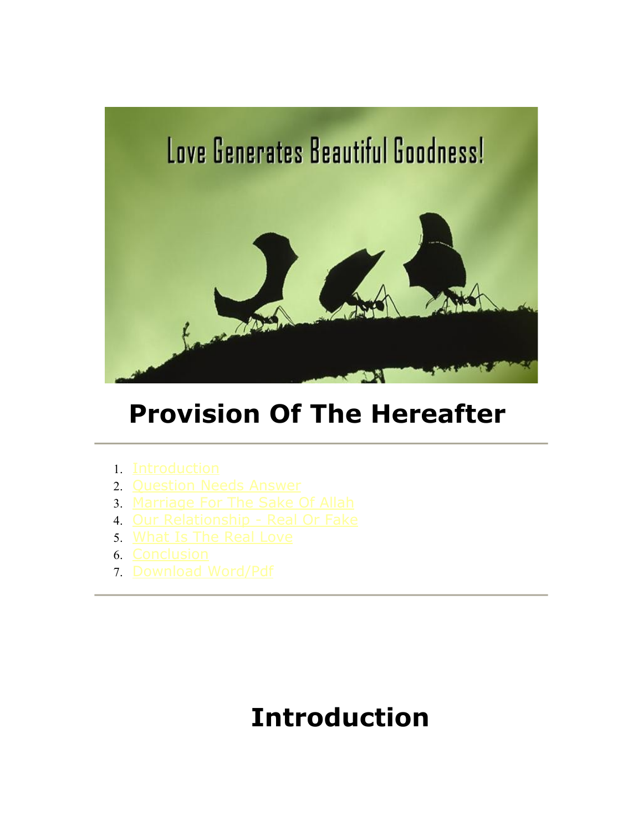

# **Provision Of The Hereafter**

- 1. [Introduction](file:///D:\Websitework_Noorallah\Articles\rizq2\provision.htm#intro#intro)
- 2. [Question Needs Answer](file:///D:\Websitework_Noorallah\Articles\rizq2\provision.htm#q#q)
- 3. [Marriage For The Sake Of Allah](file:///D:\Websitework_Noorallah\Articles\rizq2\provision.htm#marriage#marriage)
- 4. [Our Relationship Real Or Fake](file:///D:\Websitework_Noorallah\Articles\rizq2\provision.htm#ship#ship)
- 5. [What Is The Real Love](file:///D:\Websitework_Noorallah\Articles\rizq2\provision.htm#love#love)
- 6. [Conclusion](file:///D:\Websitework_Noorallah\Articles\rizq2\provision.htm#conclusion#conclusion)
- 7. [Download Word/Pdf](file:///D:\Websitework_Noorallah\Articles\rizq2\provision.htm#wordpdf#wordpdf)

# **Introduction**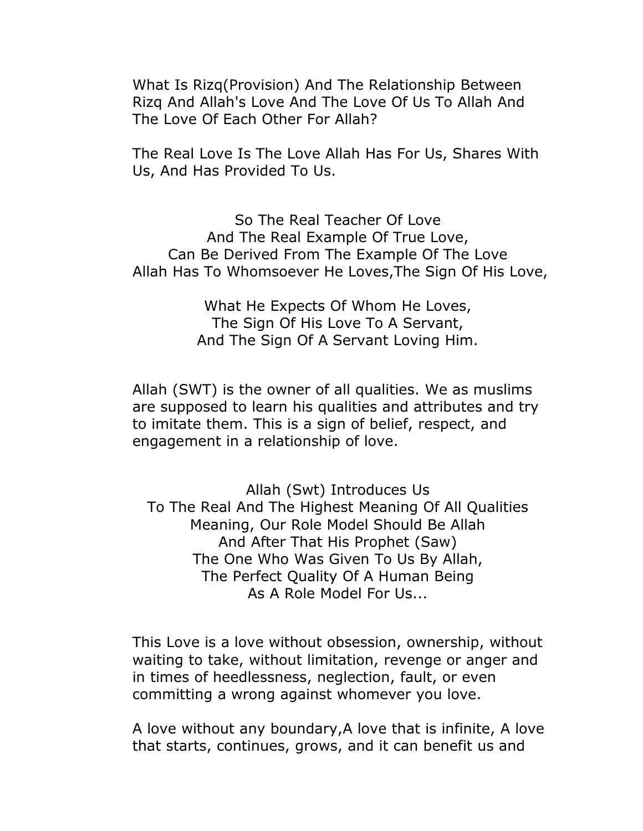What Is Rizq(Provision) And The Relationship Between Rizq And Allah's Love And The Love Of Us To Allah And The Love Of Each Other For Allah?

The Real Love Is The Love Allah Has For Us, Shares With Us, And Has Provided To Us.

So The Real Teacher Of Love And The Real Example Of True Love, Can Be Derived From The Example Of The Love Allah Has To Whomsoever He Loves,The Sign Of His Love,

> What He Expects Of Whom He Loves, The Sign Of His Love To A Servant, And The Sign Of A Servant Loving Him.

Allah (SWT) is the owner of all qualities. We as muslims are supposed to learn his qualities and attributes and try to imitate them. This is a sign of belief, respect, and engagement in a relationship of love.

Allah (Swt) Introduces Us To The Real And The Highest Meaning Of All Qualities Meaning, Our Role Model Should Be Allah And After That His Prophet (Saw) The One Who Was Given To Us By Allah, The Perfect Quality Of A Human Being As A Role Model For Us...

This Love is a love without obsession, ownership, without waiting to take, without limitation, revenge or anger and in times of heedlessness, neglection, fault, or even committing a wrong against whomever you love.

A love without any boundary,A love that is infinite, A love that starts, continues, grows, and it can benefit us and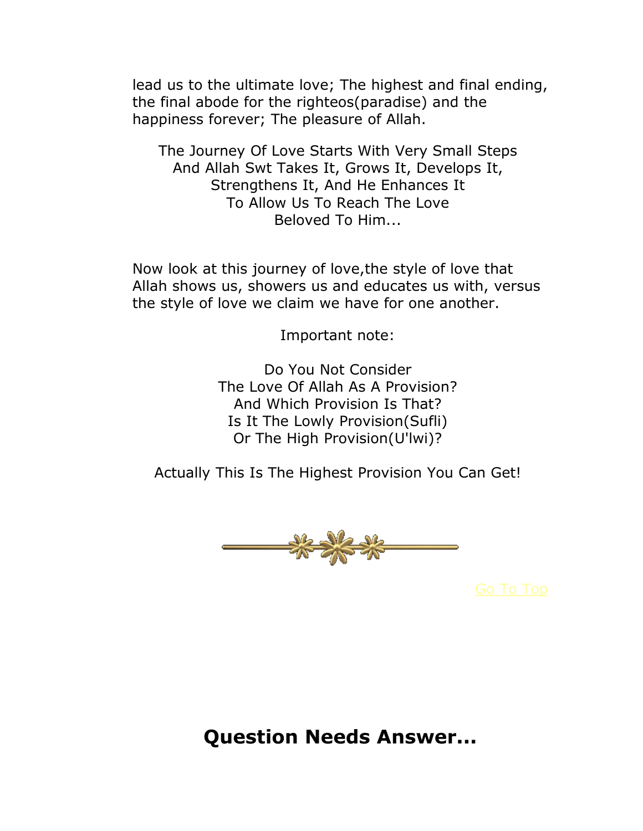lead us to the ultimate love; The highest and final ending, the final abode for the righteos(paradise) and the happiness forever; The pleasure of Allah.

The Journey Of Love Starts With Very Small Steps And Allah Swt Takes It, Grows It, Develops It, Strengthens It, And He Enhances It To Allow Us To Reach The Love Beloved To Him...

Now look at this journey of love,the style of love that Allah shows us, showers us and educates us with, versus the style of love we claim we have for one another.

Important note:

Do You Not Consider The Love Of Allah As A Provision? And Which Provision Is That? Is It The Lowly Provision(Sufli) Or The High Provision(U'lwi)?

Actually This Is The Highest Provision You Can Get!



**Question Needs Answer...**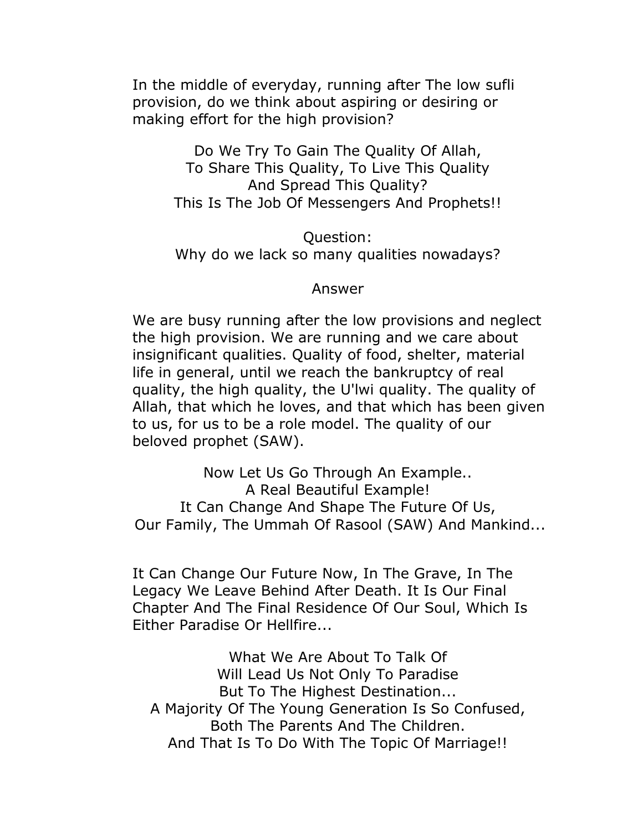In the middle of everyday, running after The low sufli provision, do we think about aspiring or desiring or making effort for the high provision?

> Do We Try To Gain The Quality Of Allah, To Share This Quality, To Live This Quality And Spread This Quality? This Is The Job Of Messengers And Prophets!!

> Question: Why do we lack so many qualities nowadays?

#### Answer

We are busy running after the low provisions and neglect the high provision. We are running and we care about insignificant qualities. Quality of food, shelter, material life in general, until we reach the bankruptcy of real quality, the high quality, the U'lwi quality. The quality of Allah, that which he loves, and that which has been given to us, for us to be a role model. The quality of our beloved prophet (SAW).

Now Let Us Go Through An Example.. A Real Beautiful Example! It Can Change And Shape The Future Of Us, Our Family, The Ummah Of Rasool (SAW) And Mankind...

It Can Change Our Future Now, In The Grave, In The Legacy We Leave Behind After Death. It Is Our Final Chapter And The Final Residence Of Our Soul, Which Is Either Paradise Or Hellfire...

What We Are About To Talk Of Will Lead Us Not Only To Paradise But To The Highest Destination... A Majority Of The Young Generation Is So Confused, Both The Parents And The Children. And That Is To Do With The Topic Of Marriage!!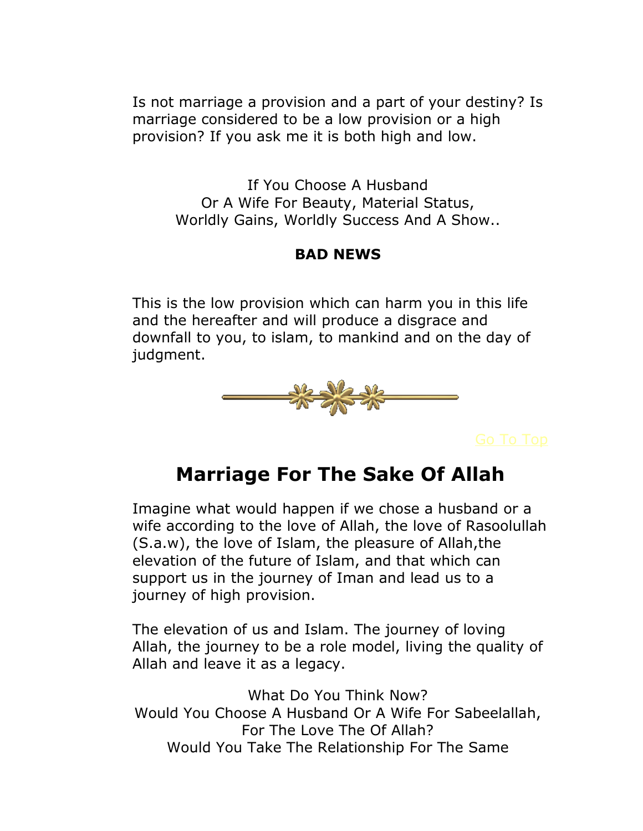Is not marriage a provision and a part of your destiny? Is marriage considered to be a low provision or a high provision? If you ask me it is both high and low.

If You Choose A Husband Or A Wife For Beauty, Material Status, Worldly Gains, Worldly Success And A Show..

### **BAD NEWS**

This is the low provision which can harm you in this life and the hereafter and will produce a disgrace and downfall to you, to islam, to mankind and on the day of judgment.



## **Marriage For The Sake Of Allah**

Imagine what would happen if we chose a husband or a wife according to the love of Allah, the love of Rasoolullah (S.a.w), the love of Islam, the pleasure of Allah,the elevation of the future of Islam, and that which can support us in the journey of Iman and lead us to a journey of high provision.

The elevation of us and Islam. The journey of loving Allah, the journey to be a role model, living the quality of Allah and leave it as a legacy.

What Do You Think Now? Would You Choose A Husband Or A Wife For Sabeelallah, For The Love The Of Allah? Would You Take The Relationship For The Same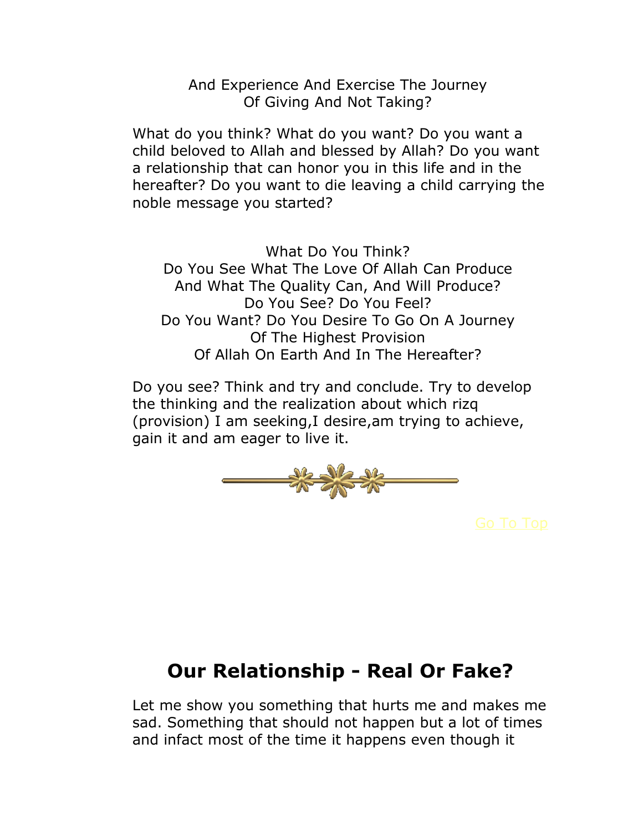And Experience And Exercise The Journey Of Giving And Not Taking?

What do you think? What do you want? Do you want a child beloved to Allah and blessed by Allah? Do you want a relationship that can honor you in this life and in the hereafter? Do you want to die leaving a child carrying the noble message you started?

What Do You Think? Do You See What The Love Of Allah Can Produce And What The Quality Can, And Will Produce? Do You See? Do You Feel? Do You Want? Do You Desire To Go On A Journey Of The Highest Provision Of Allah On Earth And In The Hereafter?

Do you see? Think and try and conclude. Try to develop the thinking and the realization about which rizq (provision) I am seeking,I desire,am trying to achieve, gain it and am eager to live it.



## **Our Relationship - Real Or Fake?**

Let me show you something that hurts me and makes me sad. Something that should not happen but a lot of times and infact most of the time it happens even though it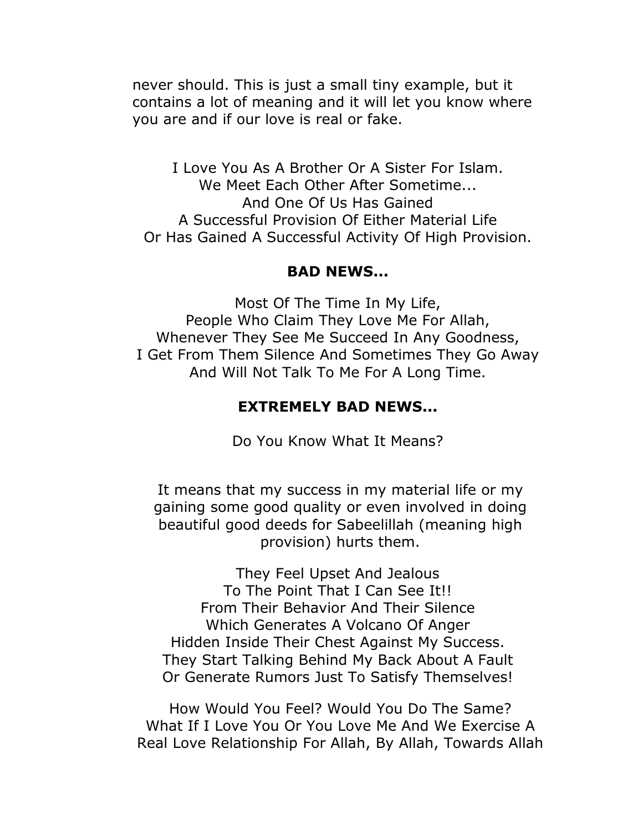never should. This is just a small tiny example, but it contains a lot of meaning and it will let you know where you are and if our love is real or fake.

I Love You As A Brother Or A Sister For Islam. We Meet Each Other After Sometime... And One Of Us Has Gained A Successful Provision Of Either Material Life Or Has Gained A Successful Activity Of High Provision.

#### **BAD NEWS...**

Most Of The Time In My Life, People Who Claim They Love Me For Allah, Whenever They See Me Succeed In Any Goodness, I Get From Them Silence And Sometimes They Go Away And Will Not Talk To Me For A Long Time.

#### **EXTREMELY BAD NEWS...**

Do You Know What It Means?

It means that my success in my material life or my gaining some good quality or even involved in doing beautiful good deeds for Sabeelillah (meaning high provision) hurts them.

They Feel Upset And Jealous To The Point That I Can See It!! From Their Behavior And Their Silence Which Generates A Volcano Of Anger Hidden Inside Their Chest Against My Success. They Start Talking Behind My Back About A Fault Or Generate Rumors Just To Satisfy Themselves!

How Would You Feel? Would You Do The Same? What If I Love You Or You Love Me And We Exercise A Real Love Relationship For Allah, By Allah, Towards Allah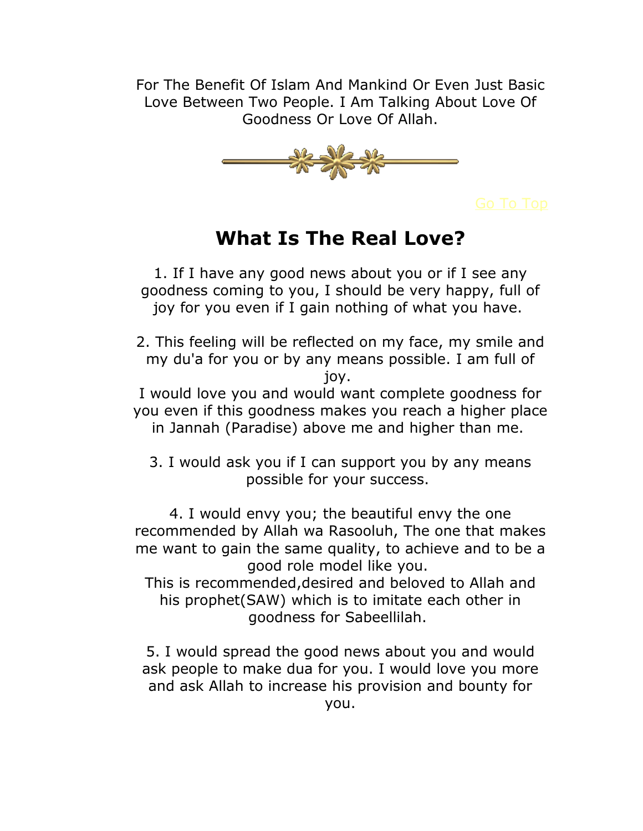For The Benefit Of Islam And Mankind Or Even Just Basic Love Between Two People. I Am Talking About Love Of Goodness Or Love Of Allah.



## **What Is The Real Love?**

1. If I have any good news about you or if I see any goodness coming to you, I should be very happy, full of joy for you even if I gain nothing of what you have.

2. This feeling will be reflected on my face, my smile and my du'a for you or by any means possible. I am full of joy.

I would love you and would want complete goodness for you even if this goodness makes you reach a higher place in Jannah (Paradise) above me and higher than me.

3. I would ask you if I can support you by any means possible for your success.

4. I would envy you; the beautiful envy the one recommended by Allah wa Rasooluh, The one that makes me want to gain the same quality, to achieve and to be a good role model like you.

This is recommended,desired and beloved to Allah and his prophet(SAW) which is to imitate each other in goodness for Sabeellilah.

5. I would spread the good news about you and would ask people to make dua for you. I would love you more and ask Allah to increase his provision and bounty for you.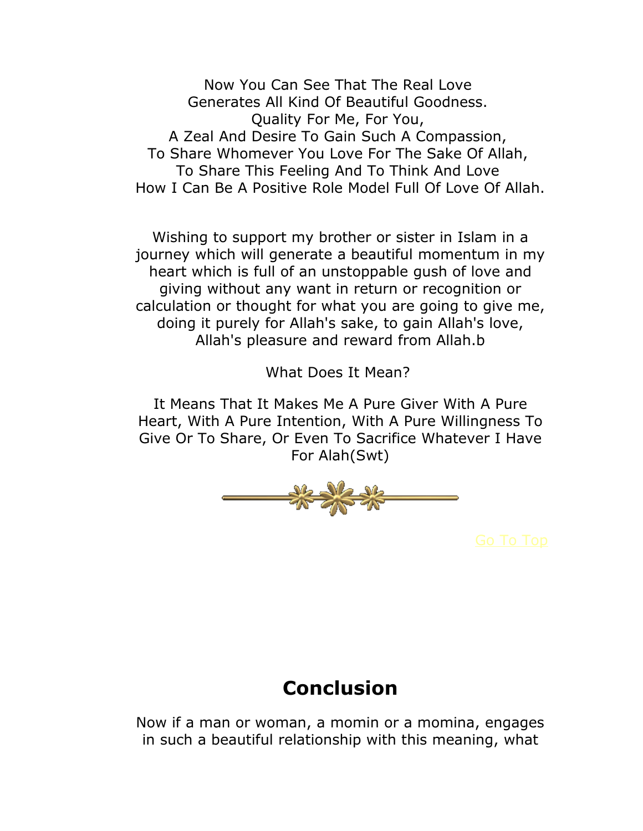Now You Can See That The Real Love Generates All Kind Of Beautiful Goodness. Quality For Me, For You, A Zeal And Desire To Gain Such A Compassion, To Share Whomever You Love For The Sake Of Allah, To Share This Feeling And To Think And Love How I Can Be A Positive Role Model Full Of Love Of Allah.

Wishing to support my brother or sister in Islam in a journey which will generate a beautiful momentum in my heart which is full of an unstoppable gush of love and giving without any want in return or recognition or calculation or thought for what you are going to give me, doing it purely for Allah's sake, to gain Allah's love, Allah's pleasure and reward from Allah.b

What Does It Mean?

It Means That It Makes Me A Pure Giver With A Pure Heart, With A Pure Intention, With A Pure Willingness To Give Or To Share, Or Even To Sacrifice Whatever I Have For Alah(Swt)



## **Conclusion**

Now if a man or woman, a momin or a momina, engages in such a beautiful relationship with this meaning, what